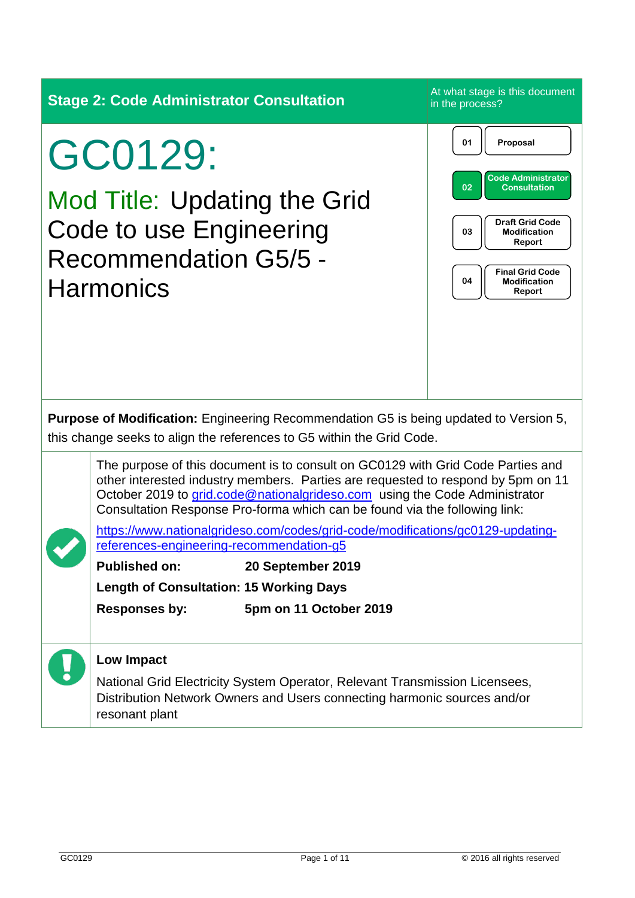**Stage 2: Code Administrator Consultation**<br>At what stage is this document in the process? GC0129: Mod Title: Updating the Grid Code to use Engineering Recommendation G5/5 - **Harmonics Purpose of Modification:** Engineering Recommendation G5 is being updated to Version 5, this change seeks to align the references to G5 within the Grid Code. The purpose of this document is to consult on GC0129 with Grid Code Parties and other interested industry members. Parties are requested to respond by 5pm on 11 October 2019 to [grid.code@nationalgrideso.com](mailto:grid.code@nationalgrideso.com) using the Code Administrator Consultation Response Pro-forma which can be found via the following link: [https://www.nationalgrideso.com/codes/grid-code/modifications/gc0129-updating](https://www.nationalgrideso.com/codes/grid-code/modifications/gc0129-updating-references-engineering-recommendation-g5)[references-engineering-recommendation-g5](https://www.nationalgrideso.com/codes/grid-code/modifications/gc0129-updating-references-engineering-recommendation-g5) **Published on: 20 September 2019 Length of Consultation: 15 Working Days Responses by: 5pm on 11 October 2019 Low Impact** National Grid Electricity System Operator, Relevant Transmission Licensees, Distribution Network Owners and Users connecting harmonic sources and/or resonant plant **01 Proposal 03 Draft Grid Code Modification Report 04 Final Grid Code Modification Report 02 Code Administrator Consultation**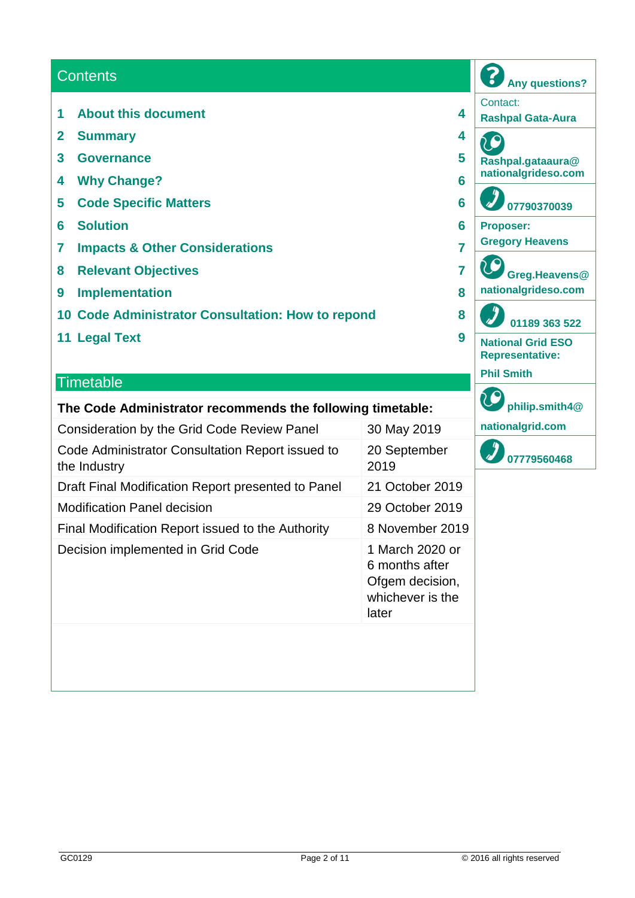### **Contents**

- **1 About this document 4**
- **2 Summary 4**
- **3 Governance 5**
- **4 Why Change? 6**
- **5 Code Specific Matters 6**
- **6 Solution 6**
- **7 Impacts & Other Considerations 7**
- **8 Relevant Objectives 7**
- **9 Implementation 8**
- **10 Code Administrator Consultation: How to repond 8**
- **11 Legal Text 9**

#### **Timetable**

#### **The Code Administrator recommends the following timetable:**

| <b>Consideration by the Grid Code Review Panel</b>               | 30 May 2019                                                                       |
|------------------------------------------------------------------|-----------------------------------------------------------------------------------|
| Code Administrator Consultation Report issued to<br>the Industry | 20 September<br>2019                                                              |
| Draft Final Modification Report presented to Panel               | 21 October 2019                                                                   |
| <b>Modification Panel decision</b>                               | 29 October 2019                                                                   |
| Final Modification Report issued to the Authority                | 8 November 2019                                                                   |
| Decision implemented in Grid Code                                | 1 March 2020 or<br>6 months after<br>Ofgem decision,<br>whichever is the<br>later |
|                                                                  |                                                                                   |

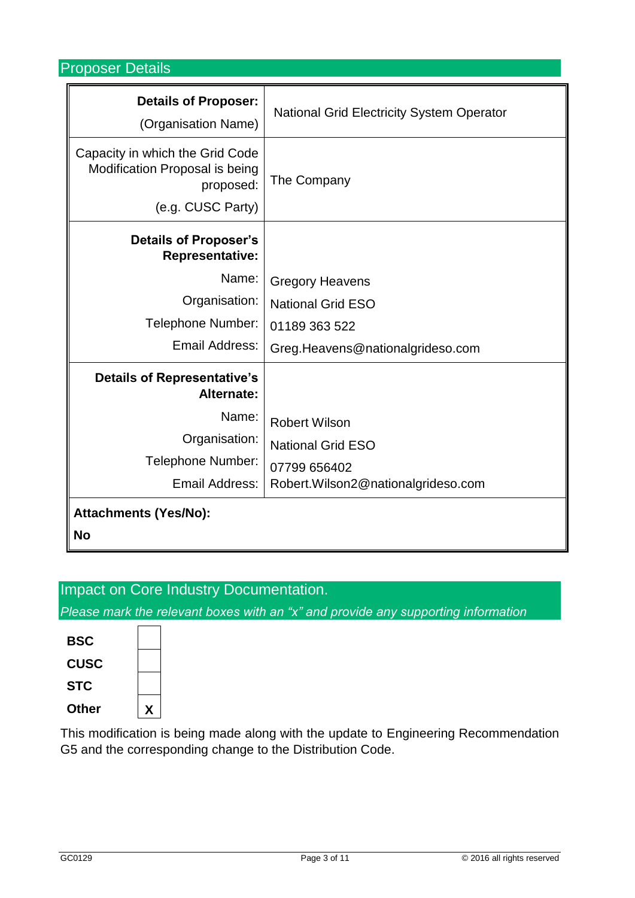Proposer Details

| <b>Details of Proposer:</b><br>(Organisation Name)                                                  | <b>National Grid Electricity System Operator</b> |
|-----------------------------------------------------------------------------------------------------|--------------------------------------------------|
| Capacity in which the Grid Code<br>Modification Proposal is being<br>proposed:<br>(e.g. CUSC Party) | The Company                                      |
| <b>Details of Proposer's</b><br><b>Representative:</b>                                              |                                                  |
| Name:                                                                                               | <b>Gregory Heavens</b>                           |
| Organisation:                                                                                       | <b>National Grid ESO</b>                         |
| Telephone Number:                                                                                   | 01189 363 522                                    |
| Email Address:                                                                                      | Greg.Heavens@nationalgrideso.com                 |
| <b>Details of Representative's</b><br>Alternate:                                                    |                                                  |
| Name:                                                                                               | <b>Robert Wilson</b>                             |
| Organisation:                                                                                       | <b>National Grid ESO</b>                         |
| Telephone Number:                                                                                   | 07799 656402                                     |
| Email Address:                                                                                      | Robert.Wilson2@nationalgrideso.com               |
| <b>Attachments (Yes/No):</b>                                                                        |                                                  |
| <b>No</b>                                                                                           |                                                  |

# Impact on Core Industry Documentation.

*Please mark the relevant boxes with an "x" and provide any supporting information*

| Other       | X |  |
|-------------|---|--|
| <b>STC</b>  |   |  |
| <b>CUSC</b> |   |  |
| <b>BSC</b>  |   |  |
|             |   |  |

This modification is being made along with the update to Engineering Recommendation G5 and the corresponding change to the Distribution Code.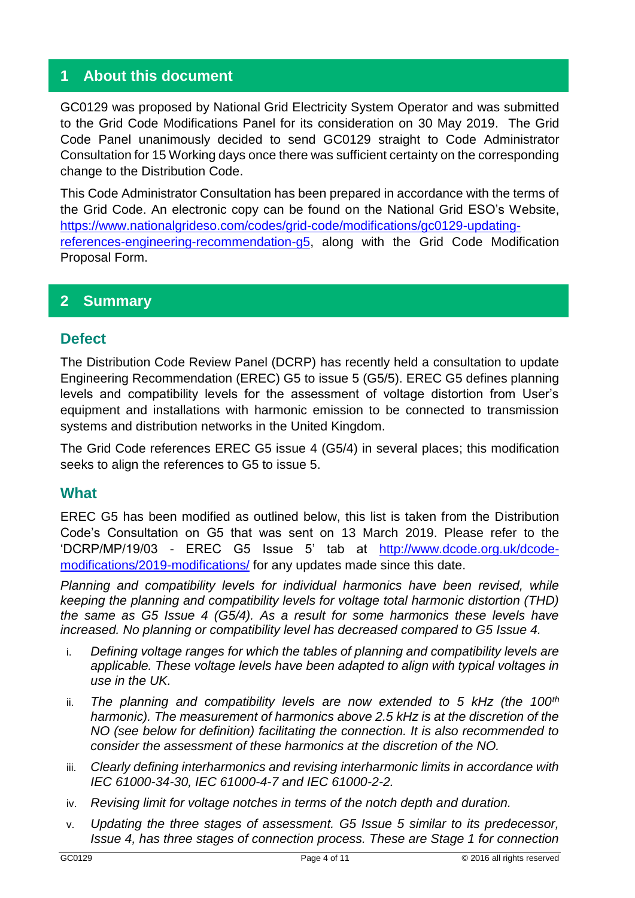## **1 About this document**

GC0129 was proposed by National Grid Electricity System Operator and was submitted to the Grid Code Modifications Panel for its consideration on 30 May 2019. The Grid Code Panel unanimously decided to send GC0129 straight to Code Administrator Consultation for 15 Working days once there was sufficient certainty on the corresponding change to the Distribution Code.

This Code Administrator Consultation has been prepared in accordance with the terms of the Grid Code. An electronic copy can be found on the National Grid ESO's Website, [https://www.nationalgrideso.com/codes/grid-code/modifications/gc0129-updating](https://www.nationalgrideso.com/codes/grid-code/modifications/gc0129-updating-references-engineering-recommendation-g5)[references-engineering-recommendation-g5,](https://www.nationalgrideso.com/codes/grid-code/modifications/gc0129-updating-references-engineering-recommendation-g5) along with the Grid Code Modification Proposal Form.

## **2 Summary**

#### **Defect**

The Distribution Code Review Panel (DCRP) has recently held a consultation to update Engineering Recommendation (EREC) G5 to issue 5 (G5/5). EREC G5 defines planning levels and compatibility levels for the assessment of voltage distortion from User's equipment and installations with harmonic emission to be connected to transmission systems and distribution networks in the United Kingdom.

The Grid Code references EREC G5 issue 4 (G5/4) in several places; this modification seeks to align the references to G5 to issue 5.

#### **What**

EREC G5 has been modified as outlined below, this list is taken from the Distribution Code's Consultation on G5 that was sent on 13 March 2019. Please refer to the 'DCRP/MP/19/03 - EREC G5 Issue 5' tab at [http://www.dcode.org.uk/dcode](http://www.dcode.org.uk/dcode-modifications/2019-modifications/)[modifications/2019-modifications/](http://www.dcode.org.uk/dcode-modifications/2019-modifications/) for any updates made since this date.

*Planning and compatibility levels for individual harmonics have been revised, while keeping the planning and compatibility levels for voltage total harmonic distortion (THD) the same as G5 Issue 4 (G5/4). As a result for some harmonics these levels have increased. No planning or compatibility level has decreased compared to G5 Issue 4.*

- i. *Defining voltage ranges for which the tables of planning and compatibility levels are applicable. These voltage levels have been adapted to align with typical voltages in use in the UK.*
- ii. *The planning and compatibility levels are now extended to 5 kHz (the 100th harmonic). The measurement of harmonics above 2.5 kHz is at the discretion of the NO (see below for definition) facilitating the connection. It is also recommended to consider the assessment of these harmonics at the discretion of the NO.*
- iii. *Clearly defining interharmonics and revising interharmonic limits in accordance with IEC 61000-34-30, IEC 61000-4-7 and IEC 61000-2-2.*
- iv. *Revising limit for voltage notches in terms of the notch depth and duration.*
- v. *Updating the three stages of assessment. G5 Issue 5 similar to its predecessor, Issue 4, has three stages of connection process. These are Stage 1 for connection*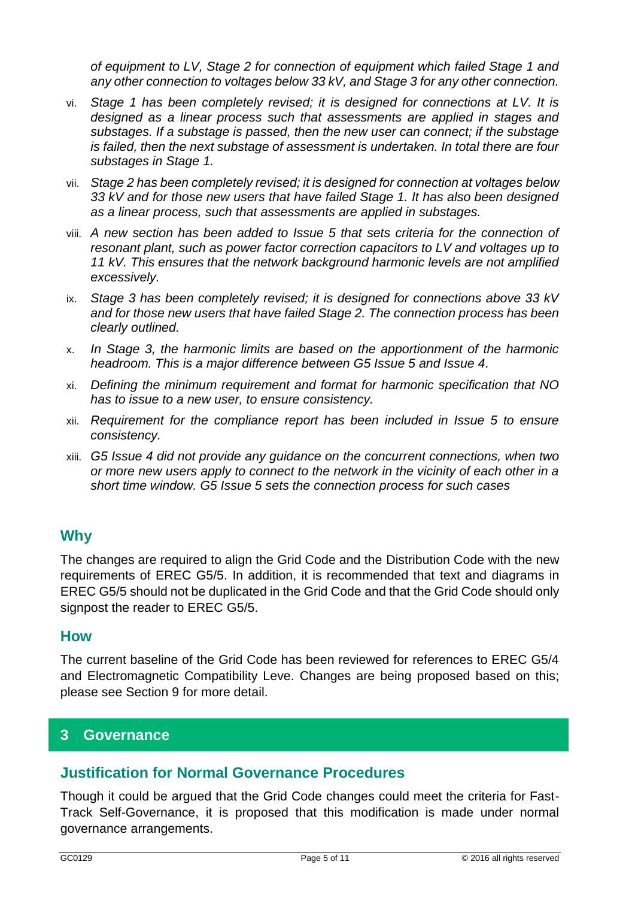*of equipment to LV, Stage 2 for connection of equipment which failed Stage 1 and any other connection to voltages below 33 kV, and Stage 3 for any other connection.*

- vi. *Stage 1 has been completely revised; it is designed for connections at LV. It is designed as a linear process such that assessments are applied in stages and substages. If a substage is passed, then the new user can connect; if the substage is failed, then the next substage of assessment is undertaken. In total there are four substages in Stage 1.*
- vii. *Stage 2 has been completely revised; it is designed for connection at voltages below 33 kV and for those new users that have failed Stage 1. It has also been designed as a linear process, such that assessments are applied in substages.*
- viii. *A new section has been added to Issue 5 that sets criteria for the connection of resonant plant, such as power factor correction capacitors to LV and voltages up to 11 kV. This ensures that the network background harmonic levels are not amplified excessively.*
- ix. *Stage 3 has been completely revised; it is designed for connections above 33 kV and for those new users that have failed Stage 2. The connection process has been clearly outlined.*
- x. *In Stage 3, the harmonic limits are based on the apportionment of the harmonic headroom. This is a major difference between G5 Issue 5 and Issue 4.*
- xi. *Defining the minimum requirement and format for harmonic specification that NO has to issue to a new user, to ensure consistency.*
- xii. *Requirement for the compliance report has been included in Issue 5 to ensure consistency.*
- xiii. *G5 Issue 4 did not provide any guidance on the concurrent connections, when two or more new users apply to connect to the network in the vicinity of each other in a short time window. G5 Issue 5 sets the connection process for such cases*

## **Why**

The changes are required to align the Grid Code and the Distribution Code with the new requirements of EREC G5/5. In addition, it is recommended that text and diagrams in EREC G5/5 should not be duplicated in the Grid Code and that the Grid Code should only signpost the reader to EREC G5/5.

#### **How**

The current baseline of the Grid Code has been reviewed for references to EREC G5/4 and Electromagnetic Compatibility Leve. Changes are being proposed based on this; please see Section 9 for more detail.

#### **3 Governance**

#### **Justification for Normal Governance Procedures**

Though it could be argued that the Grid Code changes could meet the criteria for Fast-Track Self-Governance, it is proposed that this modification is made under normal governance arrangements.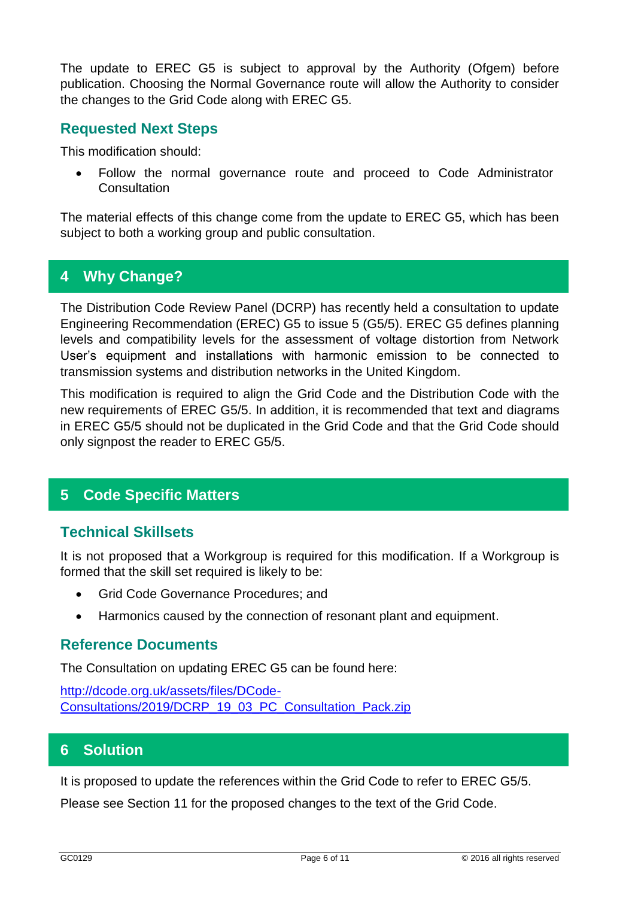The update to EREC G5 is subject to approval by the Authority (Ofgem) before publication. Choosing the Normal Governance route will allow the Authority to consider the changes to the Grid Code along with EREC G5.

### **Requested Next Steps**

This modification should:

• Follow the normal governance route and proceed to Code Administrator **Consultation** 

The material effects of this change come from the update to EREC G5, which has been subject to both a working group and public consultation.

# **4 Why Change?**

The Distribution Code Review Panel (DCRP) has recently held a consultation to update Engineering Recommendation (EREC) G5 to issue 5 (G5/5). EREC G5 defines planning levels and compatibility levels for the assessment of voltage distortion from Network User's equipment and installations with harmonic emission to be connected to transmission systems and distribution networks in the United Kingdom.

This modification is required to align the Grid Code and the Distribution Code with the new requirements of EREC G5/5. In addition, it is recommended that text and diagrams in EREC G5/5 should not be duplicated in the Grid Code and that the Grid Code should only signpost the reader to EREC G5/5.

## **5 Code Specific Matters**

## **Technical Skillsets**

It is not proposed that a Workgroup is required for this modification. If a Workgroup is formed that the skill set required is likely to be:

- Grid Code Governance Procedures; and
- Harmonics caused by the connection of resonant plant and equipment.

#### **Reference Documents**

The Consultation on updating EREC G5 can be found here:

[http://dcode.org.uk/assets/files/DCode-](http://dcode.org.uk/assets/files/DCode-Consultations/2019/DCRP_19_03_PC_Consultation_Pack.zip)[Consultations/2019/DCRP\\_19\\_03\\_PC\\_Consultation\\_Pack.zip](http://dcode.org.uk/assets/files/DCode-Consultations/2019/DCRP_19_03_PC_Consultation_Pack.zip)

#### **6 Solution**

It is proposed to update the references within the Grid Code to refer to EREC G5/5.

Please see Section 11 for the proposed changes to the text of the Grid Code.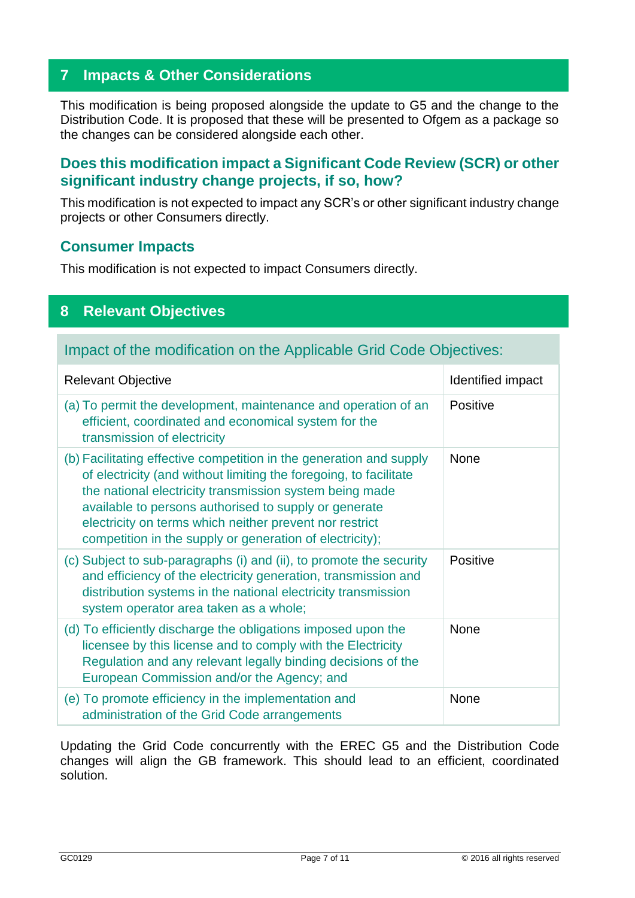## **7 Impacts & Other Considerations**

This modification is being proposed alongside the update to G5 and the change to the Distribution Code. It is proposed that these will be presented to Ofgem as a package so the changes can be considered alongside each other.

## **Does this modification impact a Significant Code Review (SCR) or other significant industry change projects, if so, how?**

This modification is not expected to impact any SCR's or other significant industry change projects or other Consumers directly.

#### **Consumer Impacts**

This modification is not expected to impact Consumers directly.

## **8 Relevant Objectives**

## Impact of the modification on the Applicable Grid Code Objectives:

| <b>Relevant Objective</b>                                                                                                                                                                                                                                                                                                                                                           | Identified impact |
|-------------------------------------------------------------------------------------------------------------------------------------------------------------------------------------------------------------------------------------------------------------------------------------------------------------------------------------------------------------------------------------|-------------------|
| (a) To permit the development, maintenance and operation of an<br>efficient, coordinated and economical system for the<br>transmission of electricity                                                                                                                                                                                                                               | Positive          |
| (b) Facilitating effective competition in the generation and supply<br>of electricity (and without limiting the foregoing, to facilitate<br>the national electricity transmission system being made<br>available to persons authorised to supply or generate<br>electricity on terms which neither prevent nor restrict<br>competition in the supply or generation of electricity); | <b>None</b>       |
| (c) Subject to sub-paragraphs (i) and (ii), to promote the security<br>and efficiency of the electricity generation, transmission and<br>distribution systems in the national electricity transmission<br>system operator area taken as a whole;                                                                                                                                    | <b>Positive</b>   |
| (d) To efficiently discharge the obligations imposed upon the<br>licensee by this license and to comply with the Electricity<br>Regulation and any relevant legally binding decisions of the<br>European Commission and/or the Agency; and                                                                                                                                          | <b>None</b>       |
| (e) To promote efficiency in the implementation and<br>administration of the Grid Code arrangements                                                                                                                                                                                                                                                                                 | <b>None</b>       |

Updating the Grid Code concurrently with the EREC G5 and the Distribution Code changes will align the GB framework. This should lead to an efficient, coordinated solution.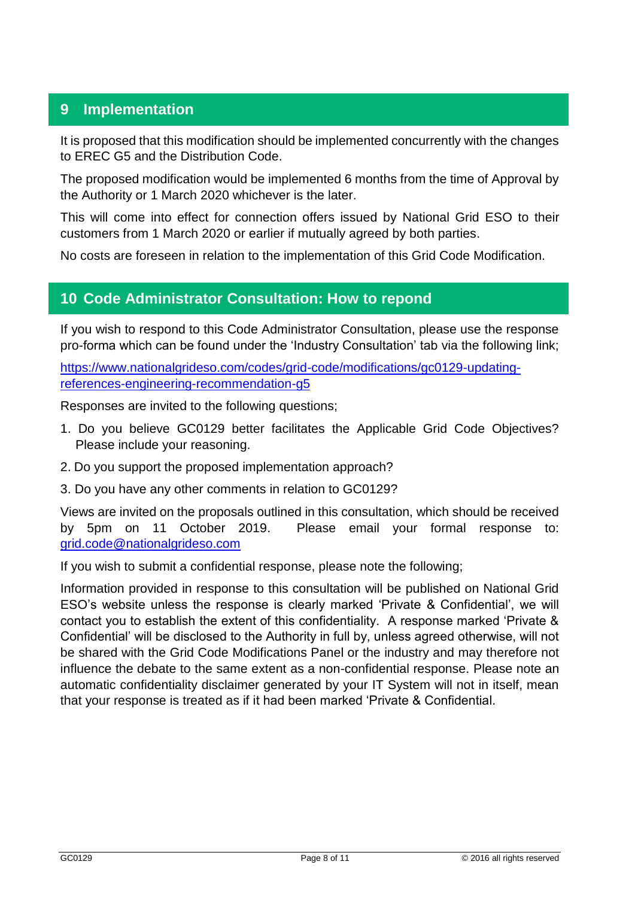# **9 Implementation**

It is proposed that this modification should be implemented concurrently with the changes to EREC G5 and the Distribution Code.

The proposed modification would be implemented 6 months from the time of Approval by the Authority or 1 March 2020 whichever is the later.

This will come into effect for connection offers issued by National Grid ESO to their customers from 1 March 2020 or earlier if mutually agreed by both parties.

No costs are foreseen in relation to the implementation of this Grid Code Modification.

## **10 Code Administrator Consultation: How to repond**

If you wish to respond to this Code Administrator Consultation, please use the response pro-forma which can be found under the 'Industry Consultation' tab via the following link;

[https://www.nationalgrideso.com/codes/grid-code/modifications/gc0129-updating](https://www.nationalgrideso.com/codes/grid-code/modifications/gc0129-updating-references-engineering-recommendation-g5)[references-engineering-recommendation-g5](https://www.nationalgrideso.com/codes/grid-code/modifications/gc0129-updating-references-engineering-recommendation-g5)

Responses are invited to the following questions;

- 1. Do you believe GC0129 better facilitates the Applicable Grid Code Objectives? Please include your reasoning.
- 2. Do you support the proposed implementation approach?
- 3. Do you have any other comments in relation to GC0129?

Views are invited on the proposals outlined in this consultation, which should be received by 5pm on 11 October 2019. Please email your formal response to: [grid.code@nationalgrideso.com](mailto:grid.code@nationalgrideso.com)

If you wish to submit a confidential response, please note the following;

Information provided in response to this consultation will be published on National Grid ESO's website unless the response is clearly marked 'Private & Confidential', we will contact you to establish the extent of this confidentiality. A response marked 'Private & Confidential' will be disclosed to the Authority in full by, unless agreed otherwise, will not be shared with the Grid Code Modifications Panel or the industry and may therefore not influence the debate to the same extent as a non-confidential response. Please note an automatic confidentiality disclaimer generated by your IT System will not in itself, mean that your response is treated as if it had been marked 'Private & Confidential.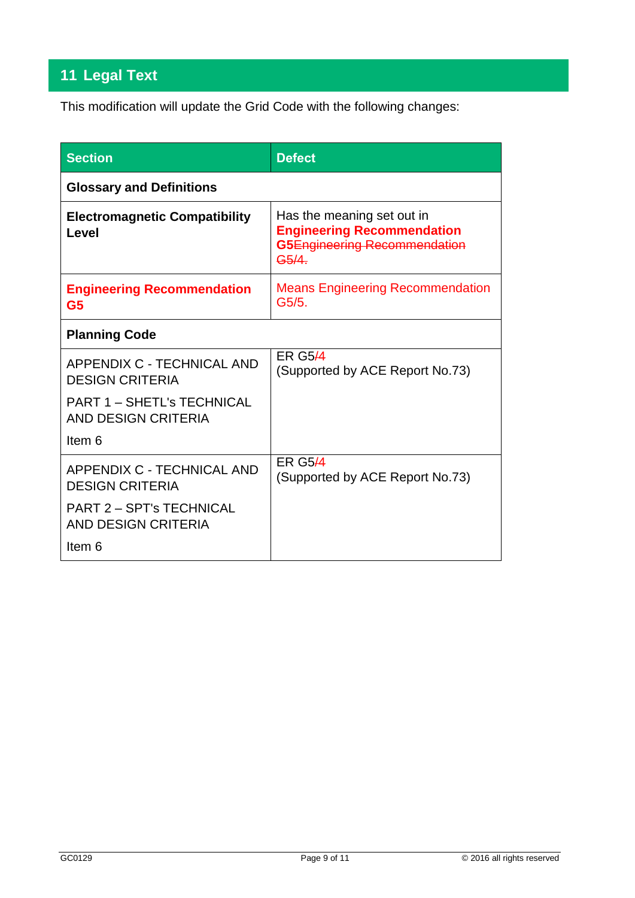# **11 Legal Text**

This modification will update the Grid Code with the following changes:

| <b>Section</b>                                           | <b>Defect</b>                                                                                                         |
|----------------------------------------------------------|-----------------------------------------------------------------------------------------------------------------------|
| <b>Glossary and Definitions</b>                          |                                                                                                                       |
| <b>Electromagnetic Compatibility</b><br>I evel           | Has the meaning set out in<br><b>Engineering Recommendation</b><br>G5Engineering Recommendation<br>G <sub>5</sub> /4. |
| <b>Engineering Recommendation</b><br>G <sub>5</sub>      | <b>Means Engineering Recommendation</b><br>G5/5.                                                                      |
| <b>Planning Code</b>                                     |                                                                                                                       |
| APPENDIX C - TECHNICAL AND<br><b>DESIGN CRITERIA</b>     | <b>ER G5/4</b><br>(Supported by ACE Report No.73)                                                                     |
| <b>PART 1 - SHETL's TECHNICAL</b><br>AND DESIGN CRITERIA |                                                                                                                       |
| Item 6                                                   |                                                                                                                       |
| APPENDIX C - TECHNICAL AND<br><b>DESIGN CRITERIA</b>     | <b>ER G544</b><br>(Supported by ACE Report No.73)                                                                     |
| <b>PART 2 - SPT's TECHNICAL</b><br>AND DESIGN CRITERIA   |                                                                                                                       |
| Item 6                                                   |                                                                                                                       |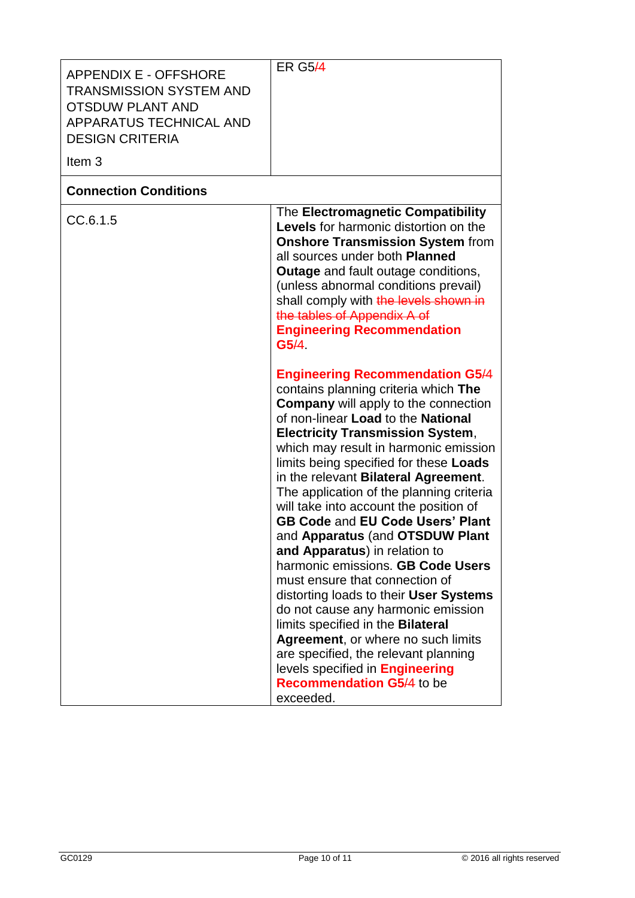| <b>APPENDIX E - OFFSHORE</b><br><b>TRANSMISSION SYSTEM AND</b><br><b>OTSDUW PLANT AND</b><br>APPARATUS TECHNICAL AND<br><b>DESIGN CRITERIA</b><br>Item <sub>3</sub> | <b>ER G5/4</b>                                                                                                                                                                                                                                                                                                                                                                                                                                                                                                                                                                                                                                                                                                                                                                                                                                                                                                                                                                                                                                                                                                                                                                                                                                                                                   |
|---------------------------------------------------------------------------------------------------------------------------------------------------------------------|--------------------------------------------------------------------------------------------------------------------------------------------------------------------------------------------------------------------------------------------------------------------------------------------------------------------------------------------------------------------------------------------------------------------------------------------------------------------------------------------------------------------------------------------------------------------------------------------------------------------------------------------------------------------------------------------------------------------------------------------------------------------------------------------------------------------------------------------------------------------------------------------------------------------------------------------------------------------------------------------------------------------------------------------------------------------------------------------------------------------------------------------------------------------------------------------------------------------------------------------------------------------------------------------------|
| <b>Connection Conditions</b>                                                                                                                                        |                                                                                                                                                                                                                                                                                                                                                                                                                                                                                                                                                                                                                                                                                                                                                                                                                                                                                                                                                                                                                                                                                                                                                                                                                                                                                                  |
| CC.6.1.5                                                                                                                                                            | The Electromagnetic Compatibility<br><b>Levels</b> for harmonic distortion on the<br><b>Onshore Transmission System from</b><br>all sources under both Planned<br><b>Outage</b> and fault outage conditions,<br>(unless abnormal conditions prevail)<br>shall comply with the levels shown in<br>the tables of Appendix A of<br><b>Engineering Recommendation</b><br>G5/4<br><b>Engineering Recommendation G5/4</b><br>contains planning criteria which The<br><b>Company</b> will apply to the connection<br>of non-linear Load to the National<br><b>Electricity Transmission System,</b><br>which may result in harmonic emission<br>limits being specified for these Loads<br>in the relevant Bilateral Agreement.<br>The application of the planning criteria<br>will take into account the position of<br><b>GB Code and EU Code Users' Plant</b><br>and Apparatus (and OTSDUW Plant<br>and Apparatus) in relation to<br>harmonic emissions. GB Code Users<br>must ensure that connection of<br>distorting loads to their User Systems<br>do not cause any harmonic emission<br>limits specified in the Bilateral<br>Agreement, or where no such limits<br>are specified, the relevant planning<br>levels specified in <b>Engineering</b><br><b>Recommendation G5/4 to be</b><br>exceeded. |